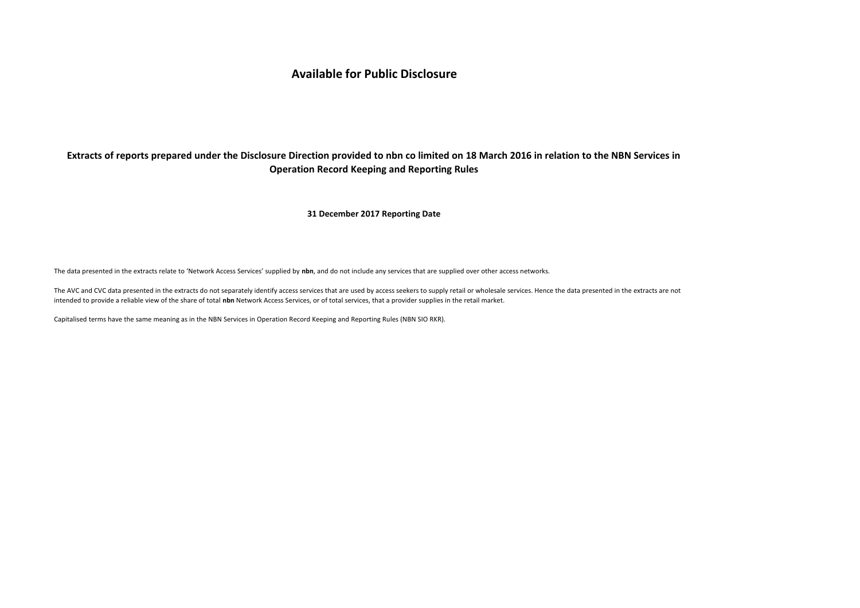# **Available for Public Disclosure**

# **Extracts of reports prepared under the Disclosure Direction provided to nbn co limited on 18 March 2016 in relation to the NBN Services in Operation Record Keeping and Reporting Rules**

**31 December 2017 Reporting Date**

The data presented in the extracts relate to 'Network Access Services' supplied by **nbn**, and do not include any services that are supplied over other access networks.

The AVC and CVC data presented in the extracts do not separately identify access services that are used by access seekers to supply retail or wholesale services. Hence the data presented in the extracts are not intended to provide a reliable view of the share of total **nbn** Network Access Services, or of total services, that a provider supplies in the retail market.

Capitalised terms have the same meaning as in the NBN Services in Operation Record Keeping and Reporting Rules (NBN SIO RKR).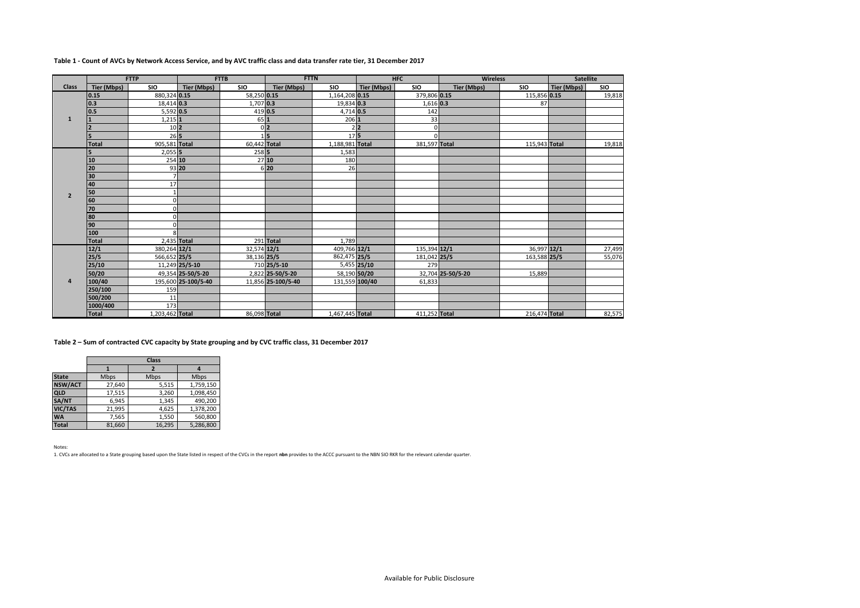|                |              | <b>FTTP</b>      |                     | <b>FTTB</b>  | <b>FTTN</b>        |                 |              | <b>HFC</b>    | <b>Wireless</b>    |               | <b>Satellite</b> |            |
|----------------|--------------|------------------|---------------------|--------------|--------------------|-----------------|--------------|---------------|--------------------|---------------|------------------|------------|
| <b>Class</b>   | Tier (Mbps)  | <b>SIO</b>       | Tier (Mbps)         | <b>SIO</b>   | Tier (Mbps)        | <b>SIO</b>      | Tier (Mbps)  | <b>SIO</b>    | <b>Tier (Mbps)</b> | <b>SIO</b>    | Tier (Mbps)      | <b>SIO</b> |
|                | 0.15         | 880,324 0.15     |                     | 58,250 0.15  |                    | 1,164,208 0.15  |              | 379,806 0.15  |                    | 115,856 0.15  |                  | 19,818     |
|                | 0.3          | 18,414 0.3       |                     | 1,707 0.3    |                    | 19,834 0.3      |              | $1,616$ 0.3   |                    | 87            |                  |            |
|                | 0.5          | $5,592$ 0.5      |                     | $419$ 0.5    |                    | 4,714 0.5       |              | 142           |                    |               |                  |            |
| $\mathbf{1}$   |              | $1.215$ 1        |                     | 651          |                    | 206 1           |              | 33            |                    |               |                  |            |
|                |              | $10\overline{2}$ |                     |              | 0 <sub>2</sub>     |                 | 2 2          | $\mathbf 0$   |                    |               |                  |            |
|                |              | 265              |                     |              | 5                  | 175             |              | $\Omega$      |                    |               |                  |            |
|                | <b>Total</b> | 905,581 Total    |                     | 60,442 Total |                    | 1,188,981 Total |              | 381,597 Total |                    | 115,943 Total |                  | 19,818     |
|                | 5            | $2,055$ 5        |                     | 258 5        |                    | 1,583           |              |               |                    |               |                  |            |
|                | 10           | 254 10           |                     |              | 2710               | 180             |              |               |                    |               |                  |            |
|                | 20           | 93 20            |                     |              | 6 20               | 26              |              |               |                    |               |                  |            |
|                | 30           |                  |                     |              |                    |                 |              |               |                    |               |                  |            |
|                | 40           | 17               |                     |              |                    |                 |              |               |                    |               |                  |            |
| $\overline{2}$ | 50           |                  |                     |              |                    |                 |              |               |                    |               |                  |            |
|                | 60           | $\Omega$         |                     |              |                    |                 |              |               |                    |               |                  |            |
|                | 170          | $\Omega$         |                     |              |                    |                 |              |               |                    |               |                  |            |
|                | 80           | ΩI               |                     |              |                    |                 |              |               |                    |               |                  |            |
|                | 90           | $\cap$           |                     |              |                    |                 |              |               |                    |               |                  |            |
|                | 100          | $\Omega$         |                     |              |                    |                 |              |               |                    |               |                  |            |
|                | <b>Total</b> | 2,435 Total      |                     |              | 291 Total          | 1.789           |              |               |                    |               |                  |            |
|                | 12/1         | 380,264 12/1     |                     | 32,574 12/1  |                    | 409,766 12/1    |              | 135,394 12/1  |                    | 36,997 12/1   |                  | 27,499     |
|                | 25/5         | 566,652 25/5     |                     | 38.136 25/5  |                    | 862,475 25/5    |              | 181,042 25/5  |                    | 163,588 25/5  |                  | 55,076     |
|                | 25/10        |                  | 11,249 25/5-10      |              | 710 25/5-10        |                 | 5,455 25/10  | 279           |                    |               |                  |            |
|                | 50/20        |                  | 49,354 25-50/5-20   |              | 2,822 25-50/5-20   |                 | 58,190 50/20 |               | 32,704 25-50/5-20  | 15,889        |                  |            |
| $\Delta$       | 100/40       |                  | 195,600 25-100/5-40 |              | 11,856 25-100/5-40 | 131,559 100/40  |              | 61,833        |                    |               |                  |            |
|                | 250/100      | 159              |                     |              |                    |                 |              |               |                    |               |                  |            |
|                | 500/200      | 11               |                     |              |                    |                 |              |               |                    |               |                  |            |
|                | 1000/400     | 173              |                     |              |                    |                 |              |               |                    |               |                  |            |
|                | <b>Total</b> | 1,203,462 Total  |                     | 86,098 Total |                    | 1,467,445 Total |              | 411,252 Total |                    | 216,474 Total |                  | 82,575     |

# **Table 1 - Count of AVCs by Network Access Service, and by AVC traffic class and data transfer rate tier, 31 December 2017**

**Table 2 – Sum of contracted CVC capacity by State grouping and by CVC traffic class, 31 December 2017**

|                |        | <b>Class</b> |           |  |  |  |  |
|----------------|--------|--------------|-----------|--|--|--|--|
|                |        |              |           |  |  |  |  |
| <b>State</b>   | Mbps   | Mbps         | Mbps      |  |  |  |  |
| <b>NSW/ACT</b> | 27.640 | 5,515        | 1,759,150 |  |  |  |  |
| <b>QLD</b>     | 17,515 | 3,260        | 1,098,450 |  |  |  |  |
| SA/NT          | 6,945  | 1,345        | 490,200   |  |  |  |  |
| VIC/TAS        | 21,995 | 4,625        | 1,378,200 |  |  |  |  |
| <b>WA</b>      | 7,565  | 1,550        | 560,800   |  |  |  |  |
| <b>Total</b>   | 81.660 | 16,295       | 5,286,800 |  |  |  |  |

Notes:

1. CVCs are allocated to a State grouping based upon the State listed in respect of the CVCs in the report **nbn** provides to the ACCC pursuant to the NBN SIO RKR for the relevant calendar quarter.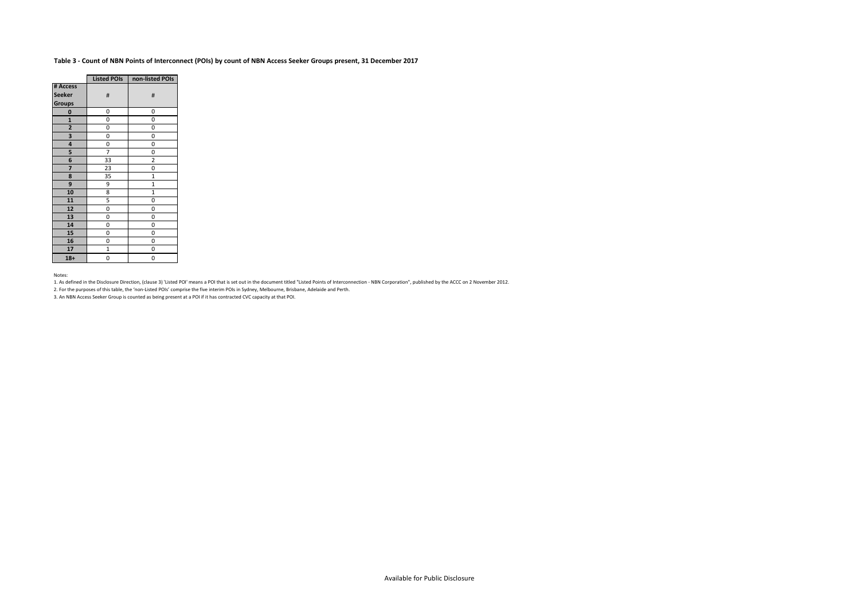# **Table 3 - Count of NBN Points of Interconnect (POIs) by count of NBN Access Seeker Groups present, 31 December 2017**

|                | <b>Listed POIs</b> | non-listed POIs |
|----------------|--------------------|-----------------|
| # Access       |                    |                 |
| <b>Seeker</b>  | #                  | #               |
| <b>Groups</b>  |                    |                 |
| 0              | 0                  | 0               |
| $\mathbf{1}$   | 0                  | 0               |
| $\overline{a}$ | 0                  | 0               |
| 3              | 0                  | 0               |
| 4              | 0                  | 0               |
| 5              | $\overline{7}$     | 0               |
| 6              | 33                 | $\overline{2}$  |
| 7              | 23                 | 0               |
| 8              | 35                 | $\mathbf{1}$    |
| 9              | 9                  | $\mathbf{1}$    |
| 10             | 8                  | $\mathbf{1}$    |
| 11             | 5                  | 0               |
| 12             | 0                  | 0               |
| 13             | 0                  | 0               |
| 14             | 0                  | 0               |
| 15             | 0                  | 0               |
| 16             | 0                  | 0               |
| 17             | $\mathbf{1}$       | 0               |
| $18+$          | 0                  | 0               |

#### Notes:

1. As defined in the Disclosure Direction, (clause 3) 'Listed POI' means a POI that is set out in the document titled "Listed Points of Interconnection - NBN Corporation", published by the ACCC on 2 November 2012.

2. For the purposes of this table, the 'non-Listed POIs' comprise the five interim POIs in Sydney, Melbourne, Brisbane, Adelaide and Perth.

3. An NBN Access Seeker Group is counted as being present at a POI if it has contracted CVC capacity at that POI.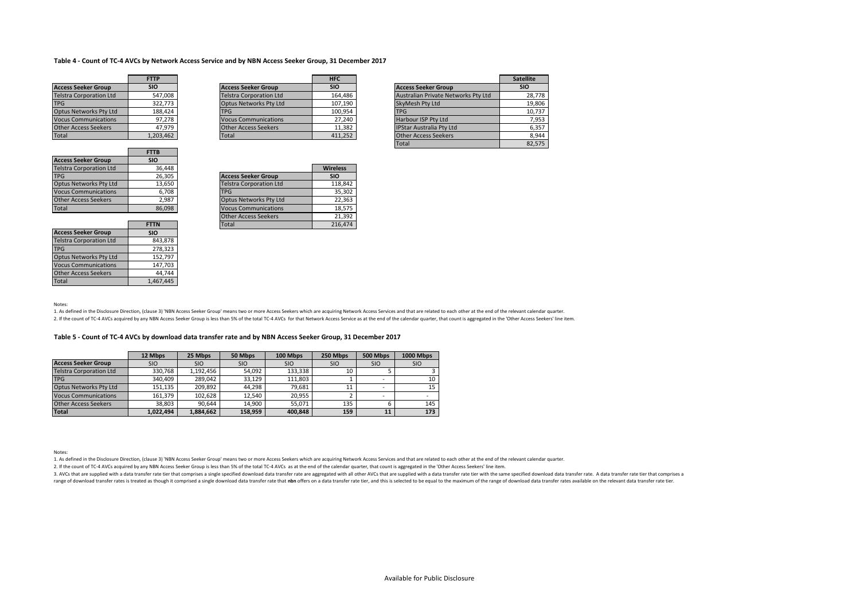## **Table 4 - Count of TC-4 AVCs by Network Access Service and by NBN Access Seeker Group, 31 December 2017**

|                                | <b>FTTP</b> |                                | <b>HFC</b> |                                     | <b>Satellite</b> |
|--------------------------------|-------------|--------------------------------|------------|-------------------------------------|------------------|
| <b>Access Seeker Group</b>     | <b>SIO</b>  | <b>Access Seeker Group</b>     | <b>SIO</b> | <b>Access Seeker Group</b>          | <b>SIO</b>       |
| <b>Telstra Corporation Ltd</b> | 547,008     | <b>Telstra Corporation Ltd</b> | 164,486    | Australian Private Networks Pty Ltd | 28.778           |
| <b>TPG</b>                     | 322.773     | Optus Networks Pty Ltd         | 107.190    | <b>SkyMesh Pty Ltd</b>              | 19.806           |
| <b>Optus Networks Pty Ltd</b>  | 188,424     | <b>TPG</b>                     | 100.954    | <b>TPG</b>                          | 10.737           |
| <b>Vocus Communications</b>    | 97.278      | <b>Vocus Communications</b>    | 27.240     | Harbour ISP Pty Ltd                 | 7,953            |
| Other Access Seekers           | 47.979      | Other Access Seekers           | 11.382     | <b>IPStar Australia Pty Ltd</b>     | 6,357            |
| Total                          | 1,203,462   | Total                          | 411,252    | <b>Other Access Seekers</b>         | 8.944            |

|                                | <b>FTTB</b> |
|--------------------------------|-------------|
| <b>Access Seeker Group</b>     | <b>SIO</b>  |
| <b>Telstra Corporation Ltd</b> | 36,448      |
| <b>TPG</b>                     | 26,305      |
| <b>Optus Networks Pty Ltd</b>  | 13,650      |
| <b>Vocus Communications</b>    | 6,708       |
| <b>Other Access Seekers</b>    | 2.987       |
| <b>Total</b>                   | 86.098      |

| Other Access Seekers           | 47.979      | <b>Other Access Seekers</b>    | 11,382          | <b>IPStar Australia Pty Ltd</b> | 6,357  |
|--------------------------------|-------------|--------------------------------|-----------------|---------------------------------|--------|
| Total                          | 1,203,462   | Total                          | 411,252         | <b>Other Access Seekers</b>     | 8,944  |
|                                |             |                                |                 | Total                           | 82,575 |
|                                | <b>FTTB</b> |                                |                 |                                 |        |
| Access Seeker Group            | <b>SIO</b>  |                                |                 |                                 |        |
| <b>Telstra Corporation Ltd</b> | 36,448      |                                | <b>Wireless</b> |                                 |        |
| <b>TPG</b>                     | 26.305      | <b>Access Seeker Group</b>     | <b>SIO</b>      |                                 |        |
| Optus Networks Pty Ltd         | 13,650      | <b>Telstra Corporation Ltd</b> | 118.842         |                                 |        |
| <b>Vocus Communications</b>    | 6.708       | <b>TPG</b>                     | 35.302          |                                 |        |
| Other Access Seekers           | 2,987       | <b>Optus Networks Pty Ltd</b>  | 22,363          |                                 |        |
| $T0$ tal                       | 96,009      | Vocus Communications           | <b>10 E7E</b>   |                                 |        |

|                                | <b>FTTN</b> |
|--------------------------------|-------------|
| <b>Access Seeker Group</b>     | <b>SIO</b>  |
| <b>Telstra Corporation Ltd</b> | 843,878     |
| <b>TPG</b>                     | 278,323     |
| <b>Optus Networks Pty Ltd</b>  | 152,797     |
| <b>Vocus Communications</b>    | 147,703     |
| <b>Other Access Seekers</b>    | 44.744      |
| otal                           | 1.467.445   |

| <b>IPG</b>                  | 20.3US      | <b>ACCESS SEEKET Group</b>     | טוכ     |
|-----------------------------|-------------|--------------------------------|---------|
| Optus Networks Pty Ltd      | 13.650      | <b>Telstra Corporation Ltd</b> | 118.842 |
| <b>Vocus Communications</b> | 6,708       | <b>TPG</b>                     | 35.302  |
| <b>Other Access Seekers</b> | 2.987       | <b>Optus Networks Pty Ltd</b>  | 22.363  |
| Total                       | 86.098      | <b>Vocus Communications</b>    | 18.575  |
|                             |             | <b>Other Access Seekers</b>    | 21.392  |
|                             | <b>FTTN</b> | Total                          | 216.474 |
| .                           | $- - -$     |                                |         |

Notes:

1. As defined in the Disclosure Direction, (clause 3) 'NBN Access Seeker Group' means two or more Access Seekers which are acquiring Network Access Services and that are related to each other at the end of the relevant cal

2. If the count of TC-4 AVCs acquired by any NBN Access Seeker Group is less than 5% of the total TC-4 AVCs for that Network Access Service as at the end of the calendar quarter, that count is aggregated in the 'Other Acce

## **Table 5 - Count of TC-4 AVCs by download data transfer rate and by NBN Access Seeker Group, 31 December 2017**

|                                | 12 Mbps    | 25 Mbps    | 50 Mbps    | 100 Mbps   | 250 Mbps   | 500 Mbps   | <b>1000 Mbps</b> |
|--------------------------------|------------|------------|------------|------------|------------|------------|------------------|
| <b>Access Seeker Group</b>     | <b>SIO</b> | <b>SIO</b> | <b>SIO</b> | <b>SIO</b> | <b>SIO</b> | <b>SIO</b> | <b>SIO</b>       |
| <b>Telstra Corporation Ltd</b> | 330.768    | 1,192,456  | 54.092     | 133.338    | 10         |            |                  |
| <b>TPG</b>                     | 340.409    | 289.042    | 33.129     | 111.803    |            |            | 10               |
| Optus Networks Pty Ltd         | 151.135    | 209.892    | 44.298     | 79.681     | 11         | ۰          | 15               |
| <b>Vocus Communications</b>    | 161.379    | 102.628    | 12.540     | 20.955     |            | ۰          |                  |
| Other Access Seekers           | 38.803     | 90.644     | 14.900     | 55.071     | 135        |            | 145              |
| <b>Total</b>                   | 1.022.494  | 1.884.662  | 158.959    | 400.848    | 159        | 11         | 173              |

Notes:

1. As defined in the Disclosure Direction, (clause 3) 'NBN Access Seeker Group' means two or more Access Seekers which are acquiring Network Access Services and that are related to each other at the end of the relevant cal

2. If the count of TC-4 AVCs acquired by any NBN Access Seeker Group is less than 5% of the total TC-4 AVCs as at the end of the calendar quarter, that count is aggregated in the 'Other Access Seekers' line item.

3. AVCs that are supplied with a data transfer rate tier that comprises a single specified download data transfer rate are aggregated with all other AVCs that are supplied with a data transfer rate tier with the same speci range of download transfer rates is treated as though it comprised a single download data transfer rate that non offers on a data transfer rate tier, and this is selected to be equal to the maximum of the range of download